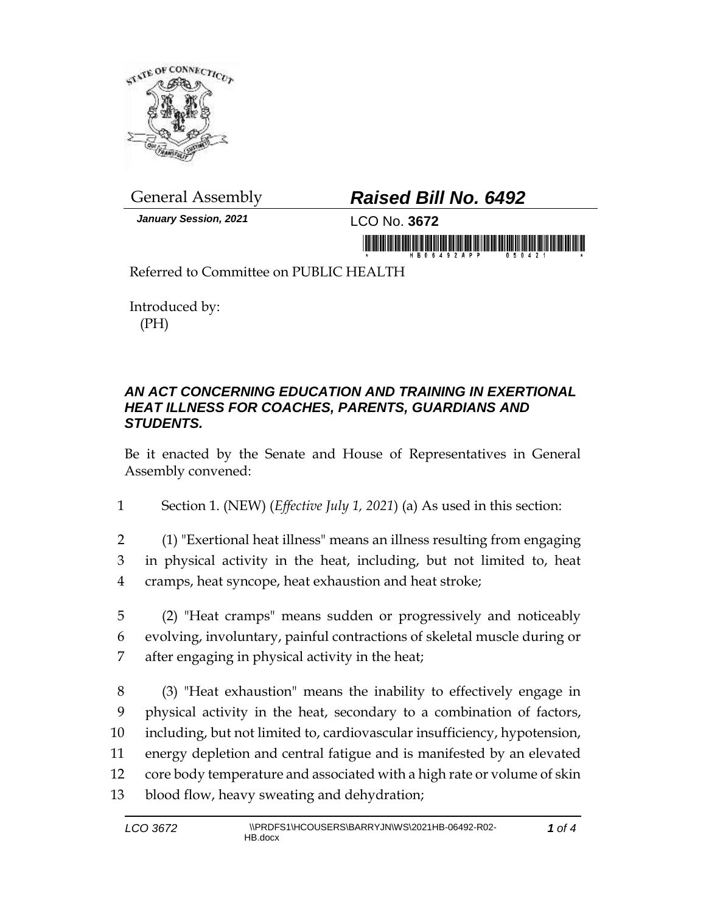

*January Session, 2021* LCO No. **3672**

## General Assembly *Raised Bill No. 6492*

in monoid is a single in making in monoi

Referred to Committee on PUBLIC HEALTH

Introduced by: (PH)

## *AN ACT CONCERNING EDUCATION AND TRAINING IN EXERTIONAL HEAT ILLNESS FOR COACHES, PARENTS, GUARDIANS AND STUDENTS.*

Be it enacted by the Senate and House of Representatives in General Assembly convened:

1 Section 1. (NEW) (*Effective July 1, 2021*) (a) As used in this section:

- 2 (1) "Exertional heat illness" means an illness resulting from engaging 3 in physical activity in the heat, including, but not limited to, heat 4 cramps, heat syncope, heat exhaustion and heat stroke;
- 5 (2) "Heat cramps" means sudden or progressively and noticeably 6 evolving, involuntary, painful contractions of skeletal muscle during or 7 after engaging in physical activity in the heat;
- 8 (3) "Heat exhaustion" means the inability to effectively engage in 9 physical activity in the heat, secondary to a combination of factors, 10 including, but not limited to, cardiovascular insufficiency, hypotension, 11 energy depletion and central fatigue and is manifested by an elevated 12 core body temperature and associated with a high rate or volume of skin 13 blood flow, heavy sweating and dehydration;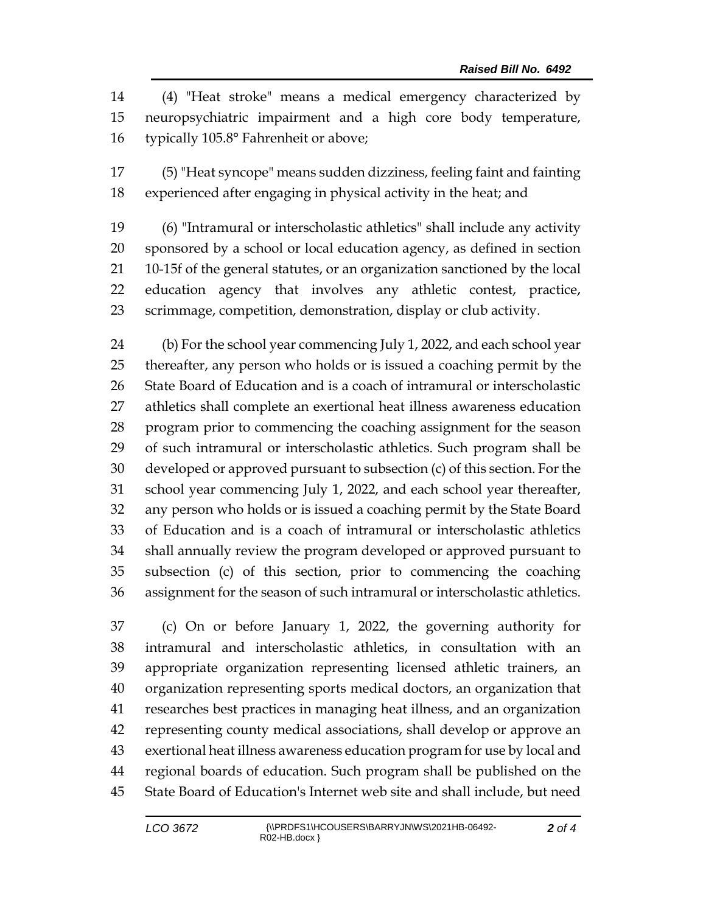(4) "Heat stroke" means a medical emergency characterized by neuropsychiatric impairment and a high core body temperature, typically 105.8° Fahrenheit or above;

 (5) "Heat syncope" means sudden dizziness, feeling faint and fainting experienced after engaging in physical activity in the heat; and

 (6) "Intramural or interscholastic athletics" shall include any activity sponsored by a school or local education agency, as defined in section 10-15f of the general statutes, or an organization sanctioned by the local education agency that involves any athletic contest, practice, scrimmage, competition, demonstration, display or club activity.

 (b) For the school year commencing July 1, 2022, and each school year thereafter, any person who holds or is issued a coaching permit by the State Board of Education and is a coach of intramural or interscholastic athletics shall complete an exertional heat illness awareness education program prior to commencing the coaching assignment for the season of such intramural or interscholastic athletics. Such program shall be developed or approved pursuant to subsection (c) of this section. For the school year commencing July 1, 2022, and each school year thereafter, any person who holds or is issued a coaching permit by the State Board of Education and is a coach of intramural or interscholastic athletics shall annually review the program developed or approved pursuant to subsection (c) of this section, prior to commencing the coaching assignment for the season of such intramural or interscholastic athletics.

 (c) On or before January 1, 2022, the governing authority for intramural and interscholastic athletics, in consultation with an appropriate organization representing licensed athletic trainers, an organization representing sports medical doctors, an organization that researches best practices in managing heat illness, and an organization representing county medical associations, shall develop or approve an exertional heat illness awareness education program for use by local and regional boards of education. Such program shall be published on the State Board of Education's Internet web site and shall include, but need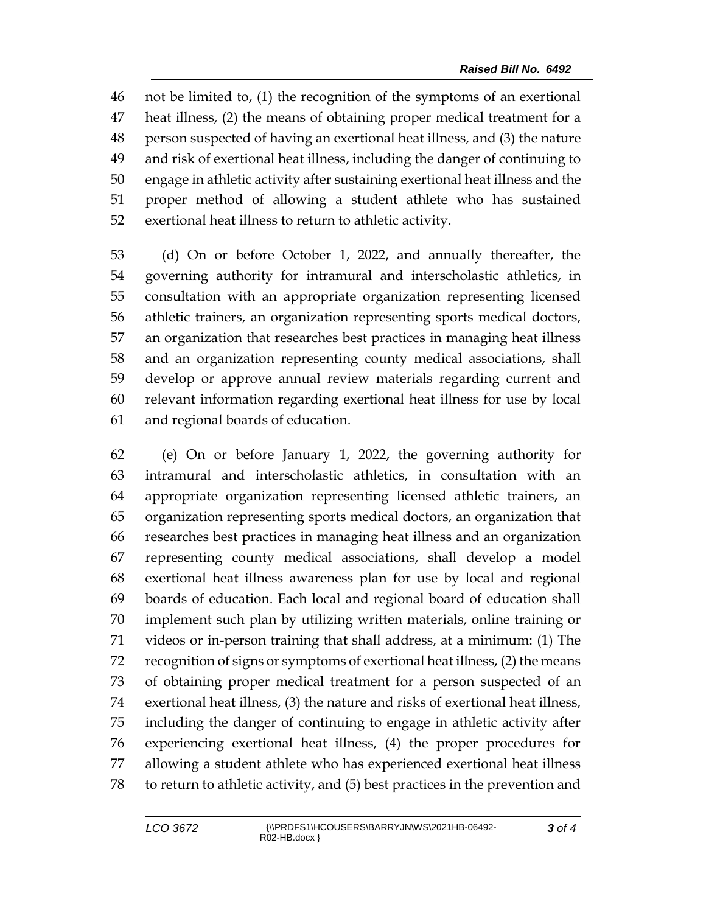not be limited to, (1) the recognition of the symptoms of an exertional heat illness, (2) the means of obtaining proper medical treatment for a person suspected of having an exertional heat illness, and (3) the nature and risk of exertional heat illness, including the danger of continuing to engage in athletic activity after sustaining exertional heat illness and the proper method of allowing a student athlete who has sustained exertional heat illness to return to athletic activity.

 (d) On or before October 1, 2022, and annually thereafter, the governing authority for intramural and interscholastic athletics, in consultation with an appropriate organization representing licensed athletic trainers, an organization representing sports medical doctors, an organization that researches best practices in managing heat illness and an organization representing county medical associations, shall develop or approve annual review materials regarding current and relevant information regarding exertional heat illness for use by local and regional boards of education.

 (e) On or before January 1, 2022, the governing authority for intramural and interscholastic athletics, in consultation with an appropriate organization representing licensed athletic trainers, an organization representing sports medical doctors, an organization that researches best practices in managing heat illness and an organization representing county medical associations, shall develop a model exertional heat illness awareness plan for use by local and regional boards of education. Each local and regional board of education shall implement such plan by utilizing written materials, online training or videos or in-person training that shall address, at a minimum: (1) The recognition of signs or symptoms of exertional heat illness, (2) the means of obtaining proper medical treatment for a person suspected of an exertional heat illness, (3) the nature and risks of exertional heat illness, including the danger of continuing to engage in athletic activity after experiencing exertional heat illness, (4) the proper procedures for allowing a student athlete who has experienced exertional heat illness to return to athletic activity, and (5) best practices in the prevention and